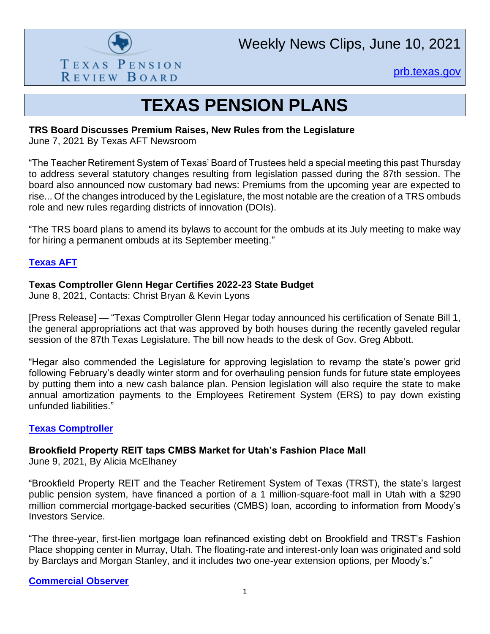

Weekly News Clips, June 10, 2021

[prb.texas.gov](http://www.prb.texas.gov/)

## **TEXAS PENSION PLANS**

## **TRS Board Discusses Premium Raises, New Rules from the Legislature**

June 7, 2021 By Texas AFT Newsroom

"The Teacher Retirement System of Texas' Board of Trustees held a special meeting this past Thursday to address several statutory changes resulting from legislation passed during the 87th session. The board also announced now customary bad news: Premiums from the upcoming year are expected to rise... Of the changes introduced by the Legislature, the most notable are the creation of a TRS ombuds role and new rules regarding districts of innovation (DOIs).

"The TRS board plans to amend its bylaws to account for the ombuds at its July meeting to make way for hiring a permanent ombuds at its September meeting."

## **[Texas AFT](https://www.texasaft.org/government/trs/trs-board-discusses-premium-raises-new-rules-from-the-legislature/)**

## **Texas Comptroller Glenn Hegar Certifies 2022-23 State Budget**

June 8, 2021, Contacts: Christ Bryan & Kevin Lyons

[Press Release] — "Texas Comptroller Glenn Hegar today announced his certification of Senate Bill 1, the general appropriations act that was approved by both houses during the recently gaveled regular session of the 87th Texas Legislature. The bill now heads to the desk of Gov. Greg Abbott.

"Hegar also commended the Legislature for approving legislation to revamp the state's power grid following February's deadly winter storm and for overhauling pension funds for future state employees by putting them into a new cash balance plan. Pension legislation will also require the state to make annual amortization payments to the Employees Retirement System (ERS) to pay down existing unfunded liabilities."

## **[Texas Comptroller](https://comptroller.texas.gov/about/media-center/news/2021/210608-certify.php)**

## **Brookfield Property REIT taps CMBS Market for Utah's Fashion Place Mall**

June 9, 2021, By Alicia McElhaney

"Brookfield Property REIT and the Teacher Retirement System of Texas (TRST), the state's largest public pension system, have financed a portion of a 1 million-square-foot mall in Utah with a \$290 million commercial mortgage-backed securities (CMBS) loan, according to information from Moody's Investors Service.

"The three-year, first-lien mortgage loan refinanced existing debt on Brookfield and TRST's Fashion Place shopping center in Murray, Utah. The floating-rate and interest-only loan was originated and sold by Barclays and Morgan Stanley, and it includes two one-year extension options, per Moody's."

**[Commercial Observer](https://commercialobserver.com/2021/06/apple-fashion-place-mall-retail-utah-brookfield-teacher-retirement-system-of-texas/)**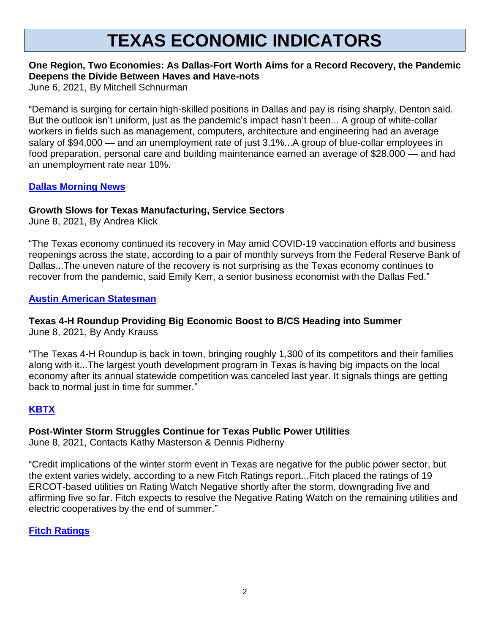# **TEXAS ECONOMIC INDICATORS**

## **One Region, Two Economies: As Dallas-Fort Worth Aims for a Record Recovery, the Pandemic Deepens the Divide Between Haves and Have-nots**

June 6, 2021, By Mitchell Schnurman

"Demand is surging for certain high-skilled positions in Dallas and pay is rising sharply, Denton said. But the outlook isn't uniform, just as the pandemic's impact hasn't been... A group of white-collar workers in fields such as management, computers, architecture and engineering had an average salary of \$94,000 — and an unemployment rate of just 3.1%...A group of blue-collar employees in food preparation, personal care and building maintenance earned an average of \$28,000 — and had an unemployment rate near 10%.

## **[Dallas Morning News](https://webcache.googleusercontent.com/search?q=cache:yA2XdDOkTY0J:https://www.dallasnews.com/business/economy/2021/06/06/one-region-two-economies-as-dallas-fort-worth-aims-for-a-record-recovery-the-pandemic-deepens-the-divide-between-haves-and-have-nots/+&cd=1&hl=en&ct=clnk&gl=us)**

## **Growth Slows for Texas Manufacturing, Service Sectors**

June 8, 2021, By Andrea Klick

"The Texas economy continued its recovery in May amid COVID-19 vaccination efforts and business reopenings across the state, according to a pair of monthly surveys from the Federal Reserve Bank of Dallas...The uneven nature of the recovery is not surprising as the Texas economy continues to recover from the pandemic, said Emily Kerr, a senior business economist with the Dallas Fed."

## **[Austin American Statesman](https://www.statesman.com/story/business/2021/06/08/texas-manufacturing-service-sectors-see-slow-growth-may-covid-vaccines/7515568002/)**

#### **Texas 4-H Roundup Providing Big Economic Boost to B/CS Heading into Summer** June 8, 2021, By Andy Krauss

"The Texas 4-H Roundup is back in town, bringing roughly 1,300 of its competitors and their families along with it...The largest youth development program in Texas is having big impacts on the local economy after its annual statewide competition was canceled last year. It signals things are getting back to normal just in time for summer."

## **[KBTX](https://www.kbtx.com/2021/06/09/texas-4-h-roundup-providing-big-economic-boost-bcs-heading-into-summer/)**

## **Post-Winter Storm Struggles Continue for Texas Public Power Utilities**

June 8, 2021, Contacts Kathy Masterson & Dennis Pidherny

"Credit implications of the winter storm event in Texas are negative for the public power sector, but the extent varies widely, according to a new Fitch Ratings report...Fitch placed the ratings of 19 ERCOT-based utilities on Rating Watch Negative shortly after the storm, downgrading five and affirming five so far. Fitch expects to resolve the Negative Rating Watch on the remaining utilities and electric cooperatives by the end of summer."

## **[Fitch Ratings](https://www.fitchratings.com/research/us-public-finance/post-winter-storm-struggles-continue-for-texas-public-power-utilities-08-06-2021)**